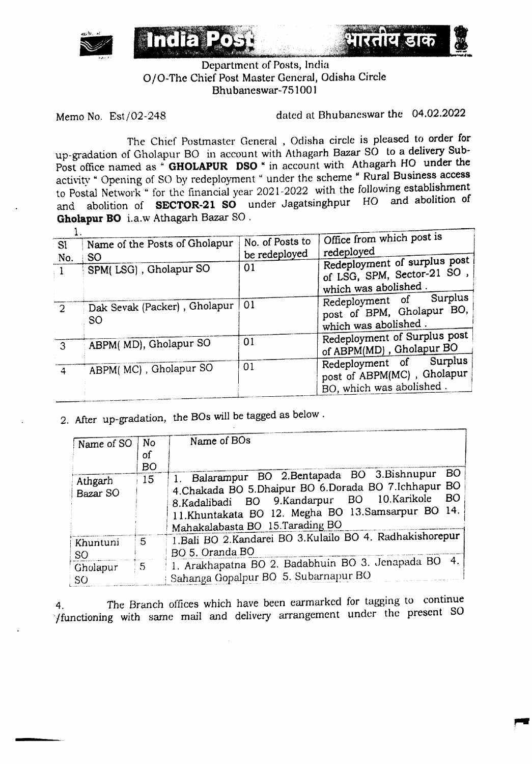

Department of Posts, India o10-The Chief Post Master General, Odisha Circle Bhubaneswar-751001

Indial.

Memo No. Est/02-248 dated at Bhubaneswar the 04.02.2022

**AIKGIR GIED** 

The Chief Postmaster General , Odisha circle is pleased to order for up-gradation of Gholapur BO in account with Athagarh Bazar SO to a delivery Sub-Post office named as  $\cdot$  **GHOLAPUR DSO** " in account with Athagarh HO under the activity " Opening of SO by redeployment " under the scheme " Rural Business access to Postal Network" for the financial year 2021-2022 with the following establishment and abolition of **SECTOR-21 SO** under Jagatsinghpur HO and abolition of **Gholapur DO** i.a.w Athagarh Bazar SO .

| SI <sub>s</sub> | Name of the Posts of Gholapur       | No. of Posts to | Office from which post is                                                         |
|-----------------|-------------------------------------|-----------------|-----------------------------------------------------------------------------------|
| No.             | <b>SO</b>                           | be redeployed   | redeployed                                                                        |
|                 | SPM(LSG), Gholapur SO               | 01              | Redeployment of surplus post<br>of LSG, SPM, Sector-21 SO,                        |
|                 |                                     |                 | which was abolished.                                                              |
| $\cdot$ 2       | Dak Sevak (Packer), Gholapur<br>SO. | 01              | Surplus<br>Redeployment of<br>post of BPM, Gholapur BO,<br>which was abolished.   |
| 3               | ABPM(MD), Gholapur SO               | 01              | Redeployment of Surplus post<br>of ABPM(MD), Gholapur BO                          |
| 4               | ABPM(MC), Gholapur SO               | 01              | Redeployment of Surplus<br>post of ABPM(MC), Gholapur<br>BO, which was abolished. |

2. After up-gradation, the 80s will be tagged as below.

| Name of SO                  | No             | Name of BOs                                                                                                                                                                                                                                                  |  |  |
|-----------------------------|----------------|--------------------------------------------------------------------------------------------------------------------------------------------------------------------------------------------------------------------------------------------------------------|--|--|
|                             | οf             |                                                                                                                                                                                                                                                              |  |  |
|                             | <b>BO</b>      |                                                                                                                                                                                                                                                              |  |  |
| Athgarh<br>Bazar SO         | 15             | <b>BO</b><br>1. Balarampur BO 2.Bentapada BO 3.Bishnupur<br>4.Chakada BO 5.Dhaipur BO 6.Dorada BO 7.Ichhapur BO<br>BO<br>8.Kadalibadi BO 9.Kandarpur BO 10.Karikole<br>11.Khuntakata BO 12. Megha BO 13.Samsarpur BO 14.<br>Mahakalabasta BO 15. Tarading BO |  |  |
| Khuntuni<br>SO <sub>1</sub> | 5              | 1. Bali BO 2. Kandarei BO 3. Kulailo BO 4. Radhakishorepur<br>BO 5. Oranda BO                                                                                                                                                                                |  |  |
| Gholapur<br><b>SO</b>       | 5 <sup>7</sup> | 1. Arakhapatna BO 2. Badabhuin BO 3. Jenapada BO 4.<br>Sahanga Gopalpur BO 5. Subarnapur BO                                                                                                                                                                  |  |  |

4. The Branch offices which have been earmarked for tagging to continue ·/functioning with same mail and delivery arrangement under the present SO